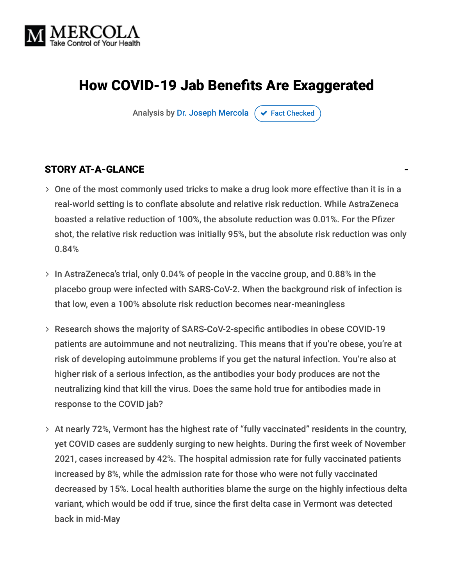

# How COVID-19 Jab Benefits Are Exaggerated

Analysis by [Dr. Joseph Mercola](https://www.mercola.com/forms/background.htm)  $\sigma$  [Fact Checked](javascript:void(0))

#### STORY AT-A-GLANCE

- $>$  One of the most commonly used tricks to make a drug look more effective than it is in a real-world setting is to conflate absolute and relative risk reduction. While AstraZeneca boasted a relative reduction of 100%, the absolute reduction was 0.01%. For the Pfizer shot, the relative risk reduction was initially 95%, but the absolute risk reduction was only 0.84%
- $>$  In AstraZeneca's trial, only 0.04% of people in the vaccine group, and 0.88% in the placebo group were infected with SARS-CoV-2. When the background risk of infection is that low, even a 100% absolute risk reduction becomes near-meaningless
- Research shows the majority of SARS-CoV-2-specific antibodies in obese COVID-19 patients are autoimmune and not neutralizing. This means that if you're obese, you're at risk of developing autoimmune problems if you get the natural infection. You're also at higher risk of a serious infection, as the antibodies your body produces are not the neutralizing kind that kill the virus. Does the same hold true for antibodies made in response to the COVID jab?
- $>$  At nearly 72%, Vermont has the highest rate of "fully vaccinated" residents in the country, yet COVID cases are suddenly surging to new heights. During the first week of November 2021, cases increased by 42%. The hospital admission rate for fully vaccinated patients increased by 8%, while the admission rate for those who were not fully vaccinated decreased by 15%. Local health authorities blame the surge on the highly infectious delta variant, which would be odd if true, since the first delta case in Vermont was detected back in mid-May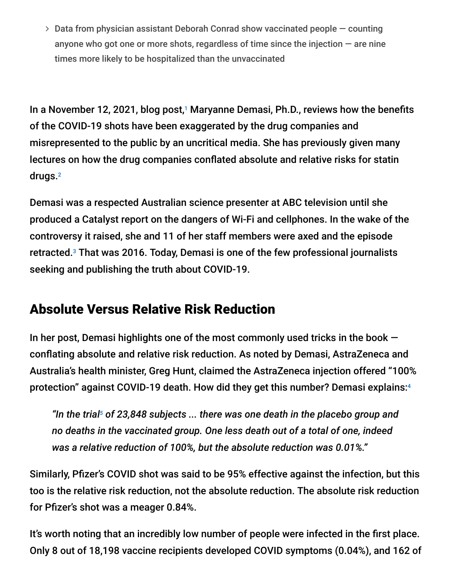$>$  Data from physician assistant Deborah Conrad show vaccinated people  $-$  counting anyone who got one or more shots, regardless of time since the injection  $-$  are nine times more likely to be hospitalized than the unvaccinated

In a November 12, 2021, blog post,<sup>1</sup> Maryanne Demasi, Ph.D., reviews how the benefits of the COVID-19 shots have been exaggerated by the drug companies and misrepresented to the public by an uncritical media. She has previously given many lectures on how the drug companies conflated absolute and relative risks for statin drugs. 2

Demasi was a respected Australian science presenter at ABC television until she produced a Catalyst report on the dangers of Wi-Fi and cellphones. In the wake of the controversy it raised, she and 11 of her staff members were axed and the episode retracted.<sup>3</sup> That was 2016. Today, Demasi is one of the few professional journalists seeking and publishing the truth about COVID-19.

## Absolute Versus Relative Risk Reduction

In her post, Demasi highlights one of the most commonly used tricks in the book  $$ conflating absolute and relative risk reduction. As noted by Demasi, AstraZeneca and Australia's health minister, Greg Hunt, claimed the AstraZeneca injection offered "100% protection" against COVID-19 death. How did they get this number? Demasi explains: 4

"In the trial<sup>5</sup> of 23,848 subjects ... there was one death in the placebo group and *no deaths in the vaccinated group. One less death out of a total of one, indeed was a relative reduction of 100%, but the absolute reduction was 0.01%."*

Similarly, Pfizer's COVID shot was said to be 95% effective against the infection, but this too is the relative risk reduction, not the absolute reduction. The absolute risk reduction for Pfizer's shot was a meager 0.84%.

It's worth noting that an incredibly low number of people were infected in the first place. Only 8 out of 18,198 vaccine recipients developed COVID symptoms (0.04%), and 162 of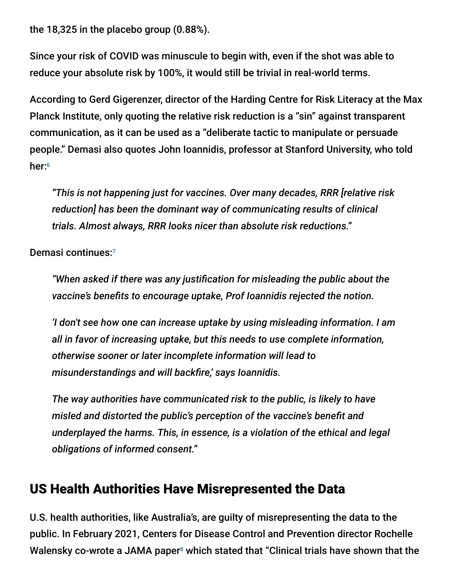the 18,325 in the placebo group (0.88%).

Since your risk of COVID was minuscule to begin with, even if the shot was able to reduce your absolute risk by 100%, it would still be trivial in real-world terms.

According to Gerd Gigerenzer, director of the Harding Centre for Risk Literacy at the Max Planck Institute, only quoting the relative risk reduction is a "sin" against transparent communication, as it can be used as a "deliberate tactic to manipulate or persuade people." Demasi also quotes John Ioannidis, professor at Stanford University, who told her: 6

*"This is not happening just for vaccines. Over many decades, RRR [relative risk reduction] has been the dominant way of communicating results of clinical trials. Almost always, RRR looks nicer than absolute risk reductions."*

Demasi continues: 7

*"When asked if there was any justification for misleading the public about the vaccine's benefits to encourage uptake, Prof Ioannidis rejected the notion.*

*'I don't see how one can increase uptake by using misleading information. I am all in favor of increasing uptake, but this needs to use complete information, otherwise sooner or later incomplete information will lead to misunderstandings and will backfire,' says Ioannidis.*

*The way authorities have communicated risk to the public, is likely to have misled and distorted the public's perception of the vaccine's benefit and underplayed the harms. This, in essence, is a violation of the ethical and legal obligations of informed consent."*

#### US Health Authorities Have Misrepresented the Data

U.S. health authorities, like Australia's, are guilty of misrepresenting the data to the public. In February 2021, Centers for Disease Control and Prevention director Rochelle Walensky co-wrote a JAMA paper<sup>8</sup> which stated that "Clinical trials have shown that the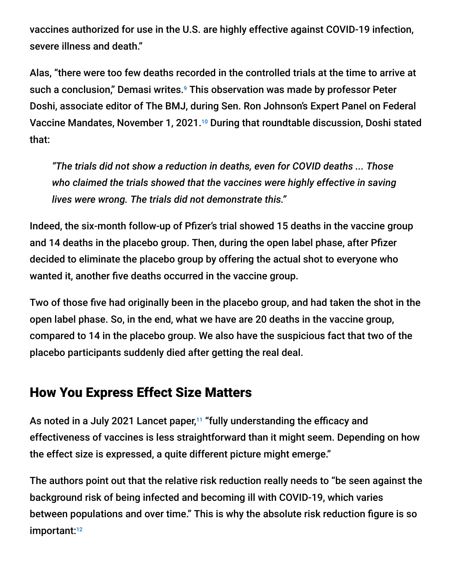vaccines authorized for use in the U.S. are highly effective against COVID-19 infection, severe illness and death."

Alas, "there were too few deaths recorded in the controlled trials at the time to arrive at such a conclusion," Demasi writes.<sup>9</sup> This observation was made by professor Peter Doshi, associate editor of The BMJ, during Sen. Ron Johnson's Expert Panel on Federal Vaccine Mandates, November 1, 2021.<sup>10</sup> During that roundtable discussion, Doshi stated that:

*"The trials did not show a reduction in deaths, even for COVID deaths ... Those who claimed the trials showed that the vaccines were highly effective in saving lives were wrong. The trials did not demonstrate this."*

Indeed, the six-month follow-up of Pfizer's trial showed 15 deaths in the vaccine group and 14 deaths in the placebo group. Then, during the open label phase, after Pfizer decided to eliminate the placebo group by offering the actual shot to everyone who wanted it, another five deaths occurred in the vaccine group.

Two of those five had originally been in the placebo group, and had taken the shot in the open label phase. So, in the end, what we have are 20 deaths in the vaccine group, compared to 14 in the placebo group. We also have the suspicious fact that two of the placebo participants suddenly died after getting the real deal.

### How You Express Effect Size Matters

As noted in a July 2021 Lancet paper,<sup>11</sup> "fully understanding the efficacy and effectiveness of vaccines is less straightforward than it might seem. Depending on how the effect size is expressed, a quite different picture might emerge."

The authors point out that the relative risk reduction really needs to "be seen against the background risk of being infected and becoming ill with COVID-19, which varies between populations and over time." This is why the absolute risk reduction figure is so important: 12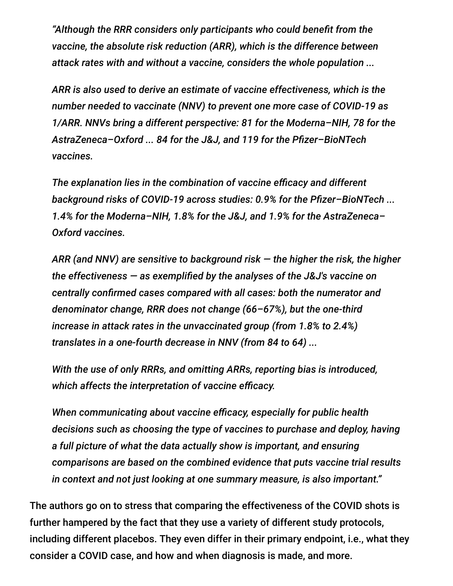*"Although the RRR considers only participants who could benefit from the vaccine, the absolute risk reduction (ARR), which is the difference between attack rates with and without a vaccine, considers the whole population ...*

*ARR is also used to derive an estimate of vaccine effectiveness, which is the number needed to vaccinate (NNV) to prevent one more case of COVID-19 as 1/ARR. NNVs bring a different perspective: 81 for the Moderna–NIH, 78 for the AstraZeneca–Oxford ... 84 for the J&J, and 119 for the Pfizer–BioNTech vaccines.*

*The explanation lies in the combination of vaccine efficacy and different background risks of COVID-19 across studies: 0.9% for the Pfizer–BioNTech ... 1.4% for the Moderna–NIH, 1.8% for the J&J, and 1.9% for the AstraZeneca– Oxford vaccines.*

*ARR (and NNV) are sensitive to background risk — the higher the risk, the higher the effectiveness — as exemplified by the analyses of the J&J's vaccine on centrally confirmed cases compared with all cases: both the numerator and denominator change, RRR does not change (66–67%), but the one-third increase in attack rates in the unvaccinated group (from 1.8% to 2.4%) translates in a one-fourth decrease in NNV (from 84 to 64) ...*

*With the use of only RRRs, and omitting ARRs, reporting bias is introduced, which affects the interpretation of vaccine efficacy.*

*When communicating about vaccine efficacy, especially for public health decisions such as choosing the type of vaccines to purchase and deploy, having a full picture of what the data actually show is important, and ensuring comparisons are based on the combined evidence that puts vaccine trial results in context and not just looking at one summary measure, is also important."*

The authors go on to stress that comparing the effectiveness of the COVID shots is further hampered by the fact that they use a variety of different study protocols, including different placebos. They even differ in their primary endpoint, i.e., what they consider a COVID case, and how and when diagnosis is made, and more.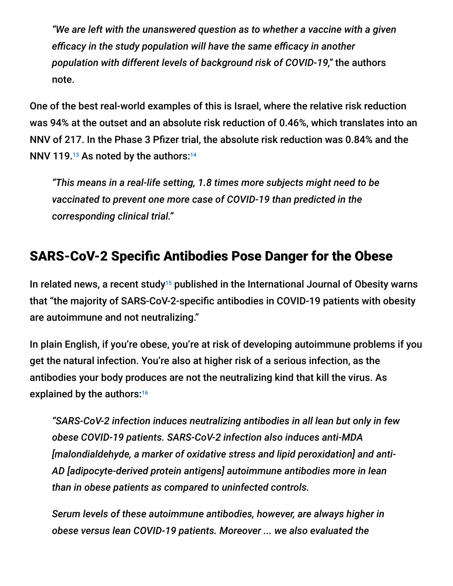*"We are left with the unanswered question as to whether a vaccine with a given efficacy in the study population will have the same efficacy in another population with different levels of background risk of COVID-19,"* the authors note.

One of the best real-world examples of this is Israel, where the relative risk reduction was 94% at the outset and an absolute risk reduction of 0.46%, which translates into an NNV of 217. In the Phase 3 Pfizer trial, the absolute risk reduction was 0.84% and the NNV 119. $13$  As noted by the authors: $14$ 

*"This means in a real-life setting, 1.8 times more subjects might need to be vaccinated to prevent one more case of COVID-19 than predicted in the corresponding clinical trial."*

# SARS-CoV-2 Specific Antibodies Pose Danger for the Obese

In related news, a recent study<sup>15</sup> published in the International Journal of Obesity warns that "the majority of SARS-CoV-2-specific antibodies in COVID-19 patients with obesity are autoimmune and not neutralizing."

In plain English, if you're obese, you're at risk of developing autoimmune problems if you get the natural infection. You're also at higher risk of a serious infection, as the antibodies your body produces are not the neutralizing kind that kill the virus. As explained by the authors: 16

*"SARS-CoV-2 infection induces neutralizing antibodies in all lean but only in few obese COVID-19 patients. SARS-CoV-2 infection also induces anti-MDA [malondialdehyde, a marker of oxidative stress and lipid peroxidation] and anti-AD [adipocyte-derived protein antigens] autoimmune antibodies more in lean than in obese patients as compared to uninfected controls.*

*Serum levels of these autoimmune antibodies, however, are always higher in obese versus lean COVID-19 patients. Moreover ... we also evaluated the*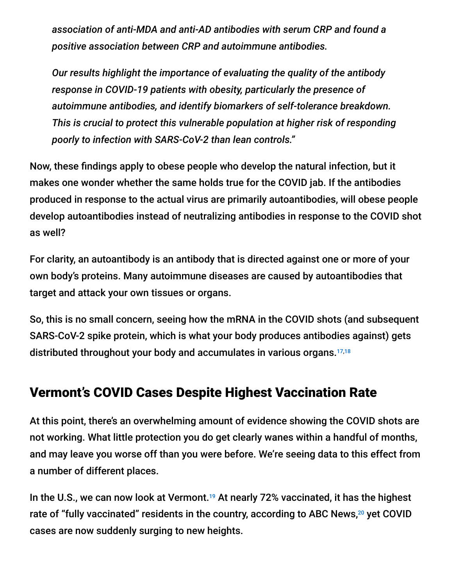*association of anti-MDA and anti-AD antibodies with serum CRP and found a positive association between CRP and autoimmune antibodies.*

*Our results highlight the importance of evaluating the quality of the antibody response in COVID-19 patients with obesity, particularly the presence of autoimmune antibodies, and identify biomarkers of self-tolerance breakdown. This is crucial to protect this vulnerable population at higher risk of responding poorly to infection with SARS-CoV-2 than lean controls."*

Now, these findings apply to obese people who develop the natural infection, but it makes one wonder whether the same holds true for the COVID jab. If the antibodies produced in response to the actual virus are primarily autoantibodies, will obese people develop autoantibodies instead of neutralizing antibodies in response to the COVID shot as well?

For clarity, an autoantibody is an antibody that is directed against one or more of your own body's proteins. Many autoimmune diseases are caused by autoantibodies that target and attack your own tissues or organs.

So, this is no small concern, seeing how the mRNA in the COVID shots (and subsequent SARS-CoV-2 spike protein, which is what your body produces antibodies against) gets distributed throughout your body and accumulates in various organs. 17,18

### Vermont's COVID Cases Despite Highest Vaccination Rate

At this point, there's an overwhelming amount of evidence showing the COVID shots are not working. What little protection you do get clearly wanes within a handful of months, and may leave you worse off than you were before. We're seeing data to this effect from a number of different places.

In the U.S., we can now look at Vermont.<sup>19</sup> At nearly 72% vaccinated, it has the highest rate of "fully vaccinated" residents in the country, according to ABC News,<sup>20</sup> yet COVID cases are now suddenly surging to new heights.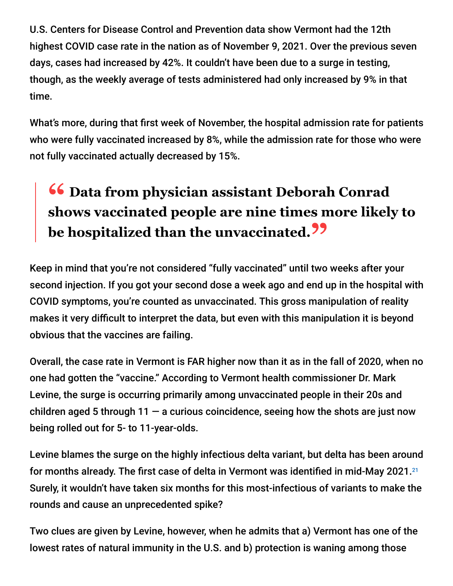U.S. Centers for Disease Control and Prevention data show Vermont had the 12th highest COVID case rate in the nation as of November 9, 2021. Over the previous seven days, cases had increased by 42%. It couldn't have been due to a surge in testing, though, as the weekly average of tests administered had only increased by 9% in that time.

What's more, during that first week of November, the hospital admission rate for patients who were fully vaccinated increased by 8%, while the admission rate for those who were not fully vaccinated actually decreased by 15%.

# **<sup>66</sup>** Data from physician assistant Deborah Conrad<br>shows vaccinated people are nine times more likely **shows vaccinated people are nine times more likely to be hospitalized than the unvaccinated."**

Keep in mind that you're not considered "fully vaccinated" until two weeks after your second injection. If you got your second dose a week ago and end up in the hospital with COVID symptoms, you're counted as unvaccinated. This gross manipulation of reality makes it very difficult to interpret the data, but even with this manipulation it is beyond obvious that the vaccines are failing.

Overall, the case rate in Vermont is FAR higher now than it as in the fall of 2020, when no one had gotten the "vaccine." According to Vermont health commissioner Dr. Mark Levine, the surge is occurring primarily among unvaccinated people in their 20s and children aged 5 through 11  $-$  a curious coincidence, seeing how the shots are just now being rolled out for 5- to 11-year-olds.

Levine blames the surge on the highly infectious delta variant, but delta has been around for months already. The first case of delta in Vermont was identified in mid-May 2021. $^{21}$ Surely, it wouldn't have taken six months for this most-infectious of variants to make the rounds and cause an unprecedented spike?

Two clues are given by Levine, however, when he admits that a) Vermont has one of the lowest rates of natural immunity in the U.S. and b) protection is waning among those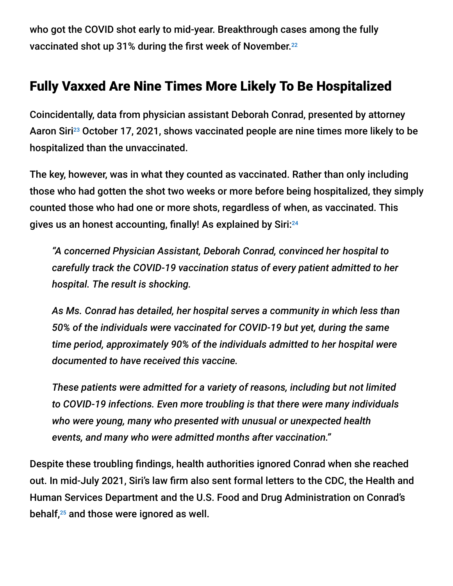who got the COVID shot early to mid-year. Breakthrough cases among the fully vaccinated shot up 31% during the first week of November. 22

## Fully Vaxxed Are Nine Times More Likely To Be Hospitalized

Coincidentally, data from physician assistant Deborah Conrad, presented by attorney Aaron Siri<sup>23</sup> October 17, 2021, shows vaccinated people are nine times more likely to be hospitalized than the unvaccinated.

The key, however, was in what they counted as vaccinated. Rather than only including those who had gotten the shot two weeks or more before being hospitalized, they simply counted those who had one or more shots, regardless of when, as vaccinated. This gives us an honest accounting, finally! As explained by Siri: 24

*"A concerned Physician Assistant, Deborah Conrad, convinced her hospital to carefully track the COVID-19 vaccination status of every patient admitted to her hospital. The result is shocking.*

*As Ms. Conrad has detailed, her hospital serves a community in which less than 50% of the individuals were vaccinated for COVID-19 but yet, during the same time period, approximately 90% of the individuals admitted to her hospital were documented to have received this vaccine.*

*These patients were admitted for a variety of reasons, including but not limited to COVID-19 infections. Even more troubling is that there were many individuals who were young, many who presented with unusual or unexpected health events, and many who were admitted months after vaccination."*

Despite these troubling findings, health authorities ignored Conrad when she reached out. In mid-July 2021, Siri's law firm also sent formal letters to the CDC, the Health and Human Services Department and the U.S. Food and Drug Administration on Conrad's behalf, $25$  and those were ignored as well.